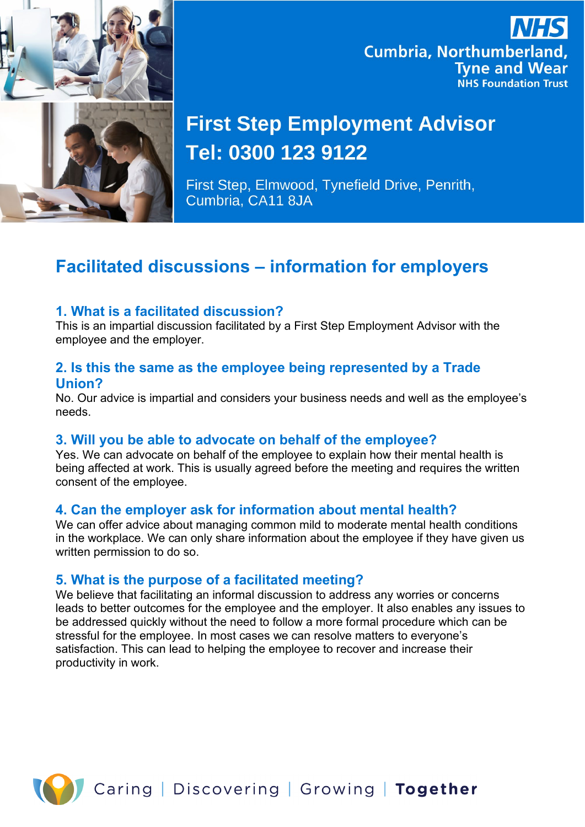

## **Cumbria, Northumberland, Tyne and Wear NHS Foundation Trust**

# **First Step Employment Advisor** Tel: 0300 123 9122

First Step, Elmwood, Tynefield Drive, Penrith, Cumbria, CA11 8JA

### **Facilitated discussions – information for employers**

#### **1. What is a facilitated discussion?**

This is an impartial discussion facilitated by a First Step Employment Advisor with the employee and the employer.

#### **2. Is this the same as the employee being represented by a Trade Union?**

No. Our advice is impartial and considers your business needs and well as the employee's needs.

#### **3. Will you be able to advocate on behalf of the employee?**

Yes. We can advocate on behalf of the employee to explain how their mental health is being affected at work. This is usually agreed before the meeting and requires the written consent of the employee.

#### **4. Can the employer ask for information about mental health?**

We can offer advice about managing common mild to moderate mental health conditions in the workplace. We can only share information about the employee if they have given us written permission to do so.

#### **5. What is the purpose of a facilitated meeting?**

We believe that facilitating an informal discussion to address any worries or concerns leads to better outcomes for the employee and the employer. It also enables any issues to be addressed quickly without the need to follow a more formal procedure which can be stressful for the employee. In most cases we can resolve matters to everyone's satisfaction. This can lead to helping the employee to recover and increase their productivity in work.